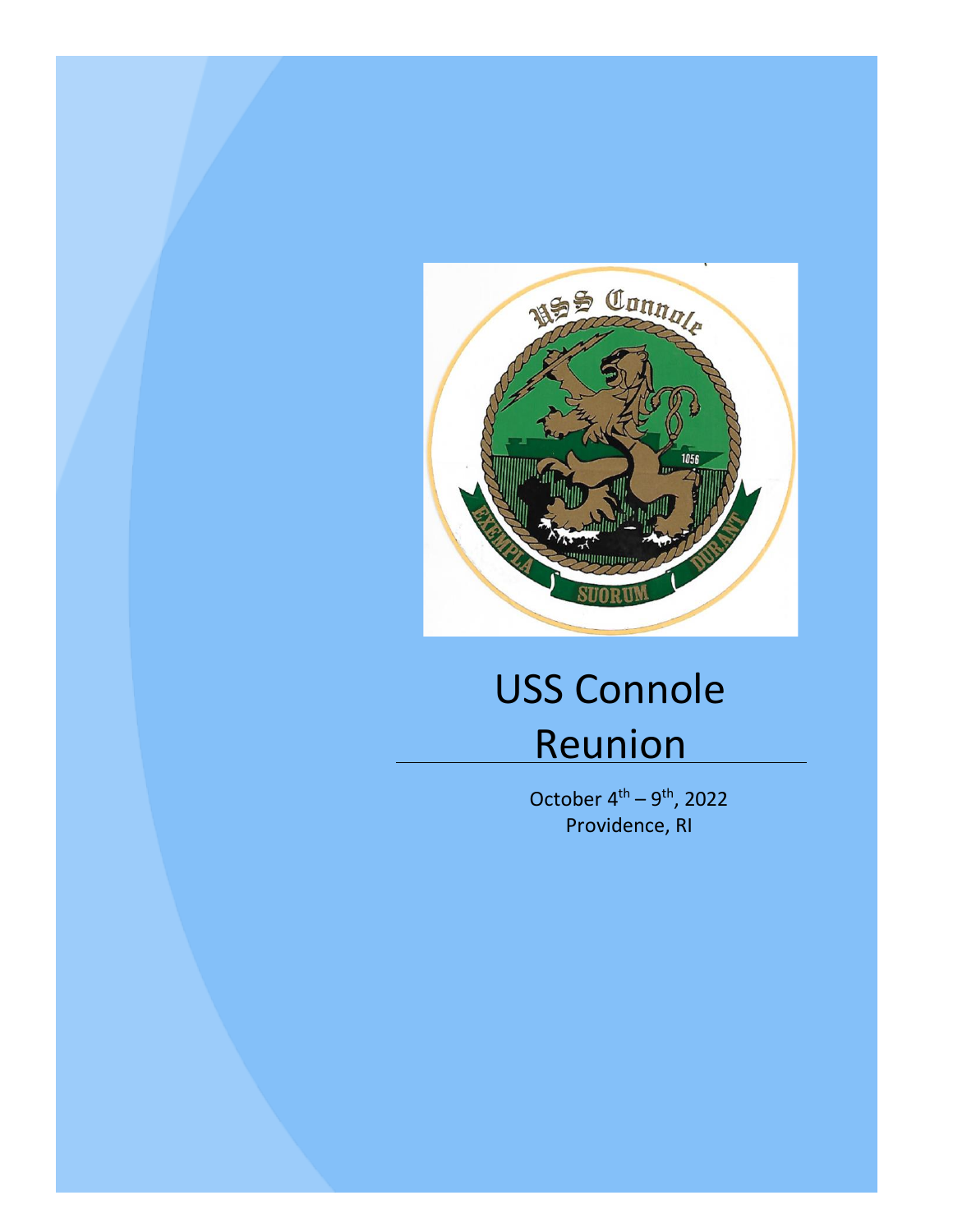

# USS Connole Reunion

October  $4^{\text{th}} - 9^{\text{th}}$ , 2022 Providence, RI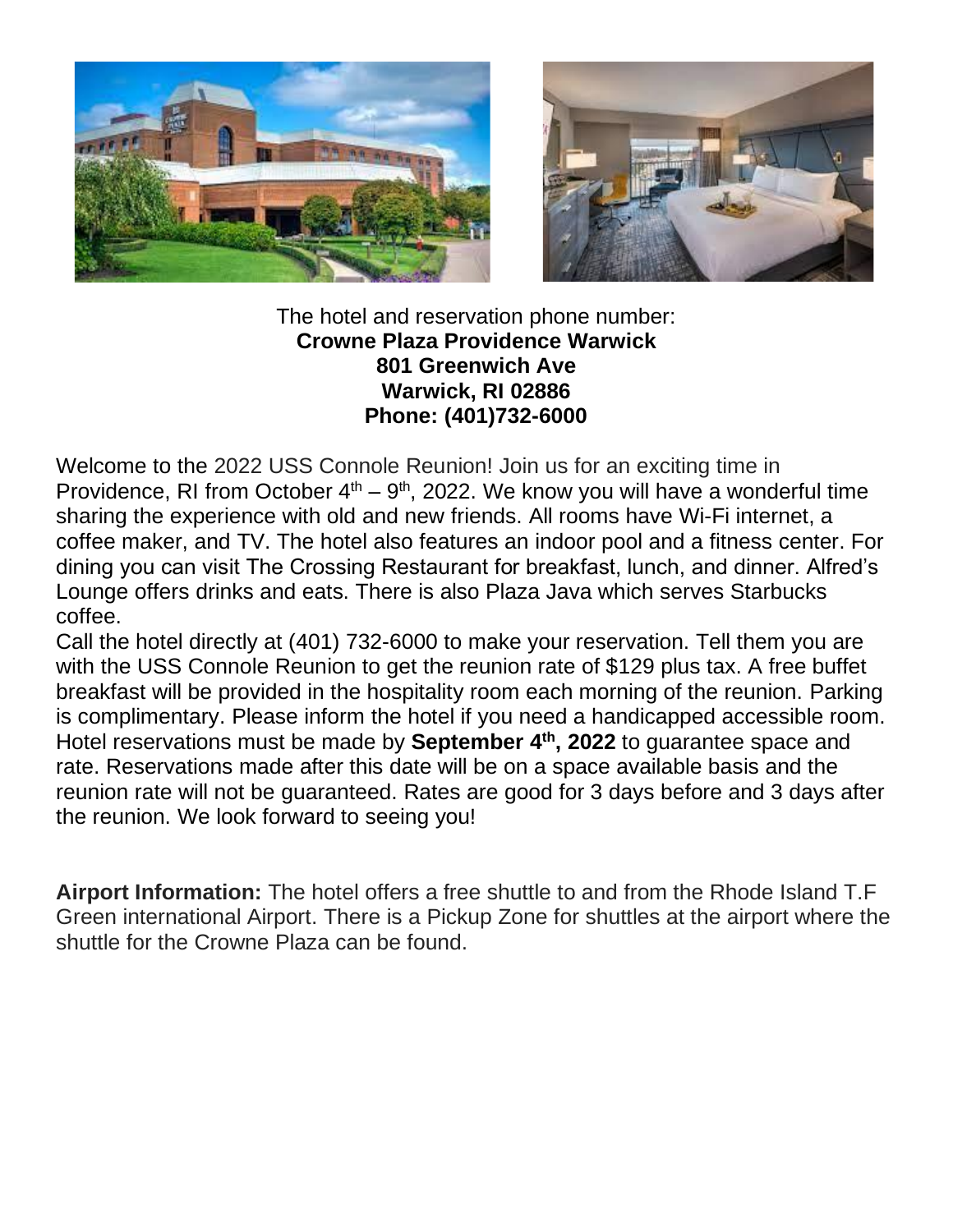



#### The hotel and reservation phone number: **Crowne Plaza Providence Warwick 801 Greenwich Ave Warwick, RI 02886 Phone: (401)732-6000**

Welcome to the 2022 USS Connole Reunion! Join us for an exciting time in Providence, RI from October  $4<sup>th</sup> - 9<sup>th</sup>$ , 2022. We know you will have a wonderful time sharing the experience with old and new friends. All rooms have Wi-Fi internet, a coffee maker, and TV. The hotel also features an indoor pool and a fitness center. For dining you can visit The Crossing Restaurant for breakfast, lunch, and dinner. Alfred's Lounge offers drinks and eats. There is also Plaza Java which serves Starbucks coffee.

Call the hotel directly at (401) 732-6000 to make your reservation. Tell them you are with the USS Connole Reunion to get the reunion rate of \$129 plus tax. A free buffet breakfast will be provided in the hospitality room each morning of the reunion. Parking is complimentary. Please inform the hotel if you need a handicapped accessible room. Hotel reservations must be made by **September 4th, 2022** to guarantee space and rate. Reservations made after this date will be on a space available basis and the reunion rate will not be guaranteed. Rates are good for 3 days before and 3 days after the reunion. We look forward to seeing you!

**Airport Information:** The hotel offers a free shuttle to and from the Rhode Island T.F Green international Airport. There is a Pickup Zone for shuttles at the airport where the shuttle for the Crowne Plaza can be found.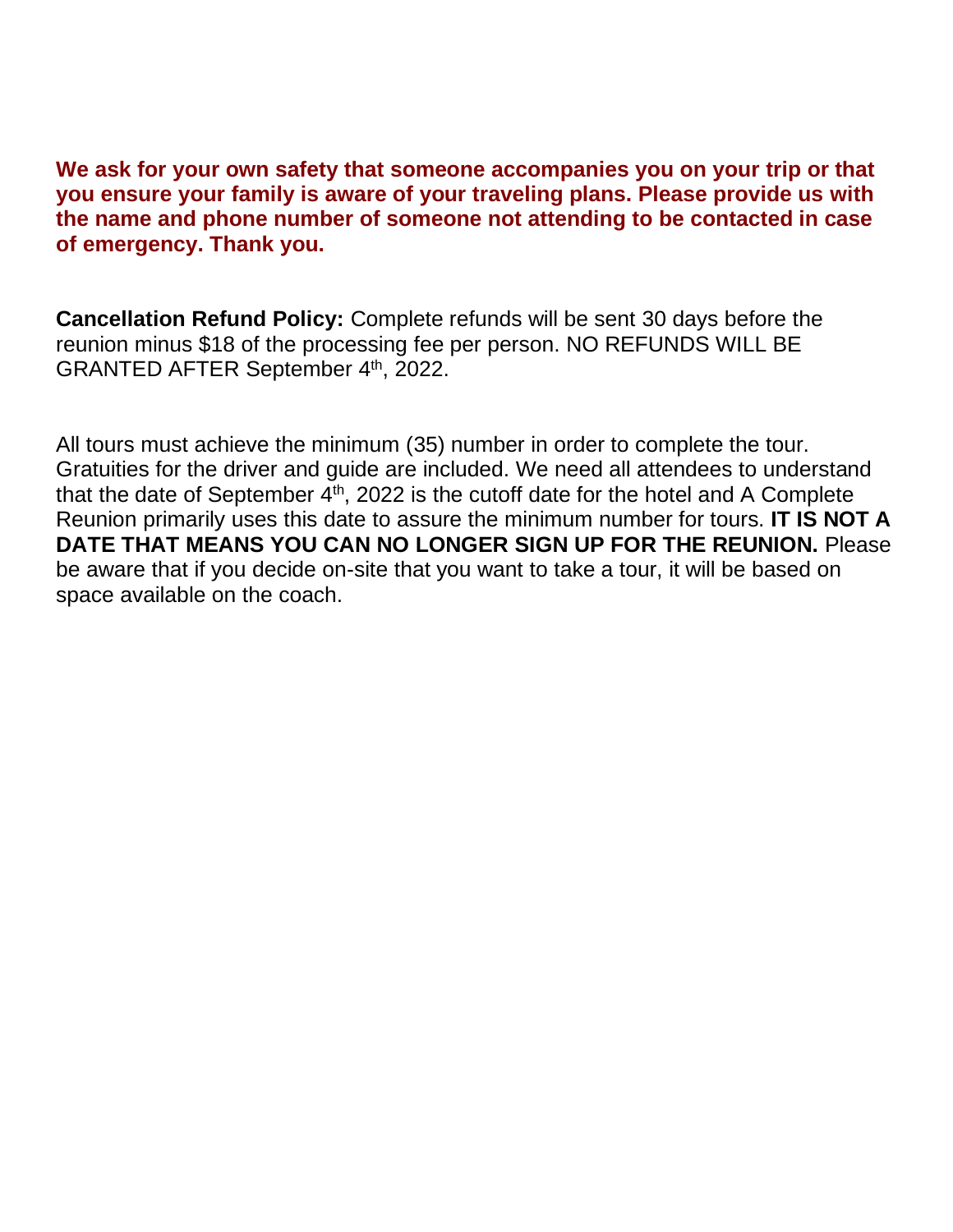**We ask for your own safety that someone accompanies you on your trip or that you ensure your family is aware of your traveling plans. Please provide us with the name and phone number of someone not attending to be contacted in case of emergency. Thank you.**

**Cancellation Refund Policy:** Complete refunds will be sent 30 days before the reunion minus \$18 of the processing fee per person. NO REFUNDS WILL BE GRANTED AFTER September 4th, 2022.

All tours must achieve the minimum (35) number in order to complete the tour. Gratuities for the driver and guide are included. We need all attendees to understand that the date of September  $4<sup>th</sup>$ , 2022 is the cutoff date for the hotel and A Complete Reunion primarily uses this date to assure the minimum number for tours. **IT IS NOT A DATE THAT MEANS YOU CAN NO LONGER SIGN UP FOR THE REUNION.** Please be aware that if you decide on-site that you want to take a tour, it will be based on space available on the coach.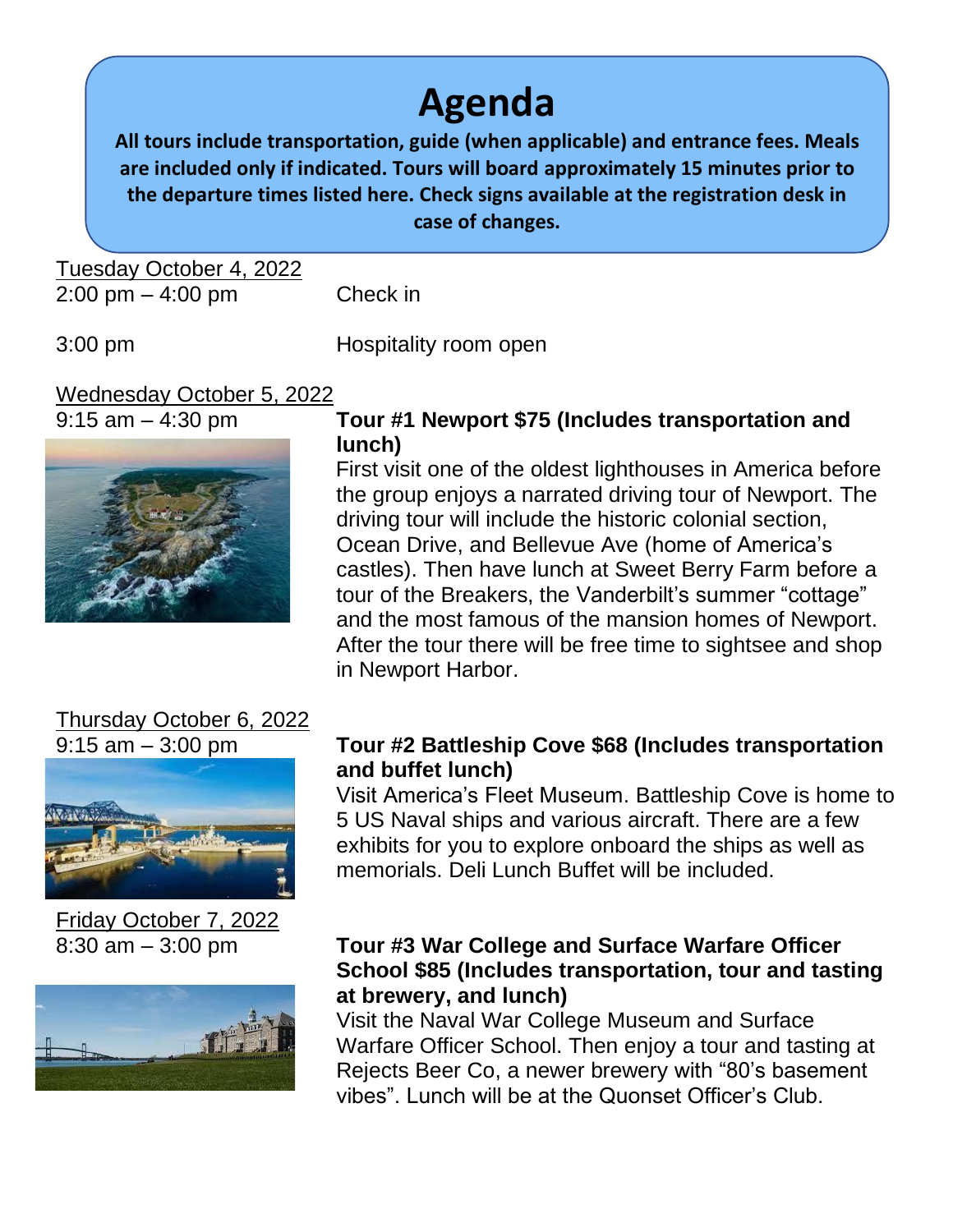### **Agenda**

**All tours include transportation, guide (when applicable) and entrance fees. Meals are included only if indicated. Tours will board approximately 15 minutes prior to the departure times listed here. Check signs available at the registration desk in case of changes.**

Tuesday October 4, 2022 2:00 pm – 4:00 pm Check in

3:00 pm Hospitality room open

### Wednesday October 5, 2022



#### 9:15 am – 4:30 pm **Tour #1 Newport \$75 (Includes transportation and lunch)**

First visit one of the oldest lighthouses in America before the group enjoys a narrated driving tour of Newport. The driving tour will include the historic colonial section, Ocean Drive, and Bellevue Ave (home of America's castles). Then have lunch at Sweet Berry Farm before a tour of the Breakers, the Vanderbilt's summer "cottage" and the most famous of the mansion homes of Newport. After the tour there will be free time to sightsee and shop in Newport Harbor.

## Thursday October 6, 2022



Friday October 7, 2022



#### 9:15 am – 3:00 pm **Tour #2 Battleship Cove \$68 (Includes transportation and buffet lunch)**

Visit America's Fleet Museum. Battleship Cove is home to 5 US Naval ships and various aircraft. There are a few exhibits for you to explore onboard the ships as well as memorials. Deli Lunch Buffet will be included.

#### 8:30 am – 3:00 pm **Tour #3 War College and Surface Warfare Officer School \$85 (Includes transportation, tour and tasting at brewery, and lunch)**

Visit the Naval War College Museum and Surface Warfare Officer School. Then enjoy a tour and tasting at Rejects Beer Co, a newer brewery with "80's basement vibes". Lunch will be at the Quonset Officer's Club.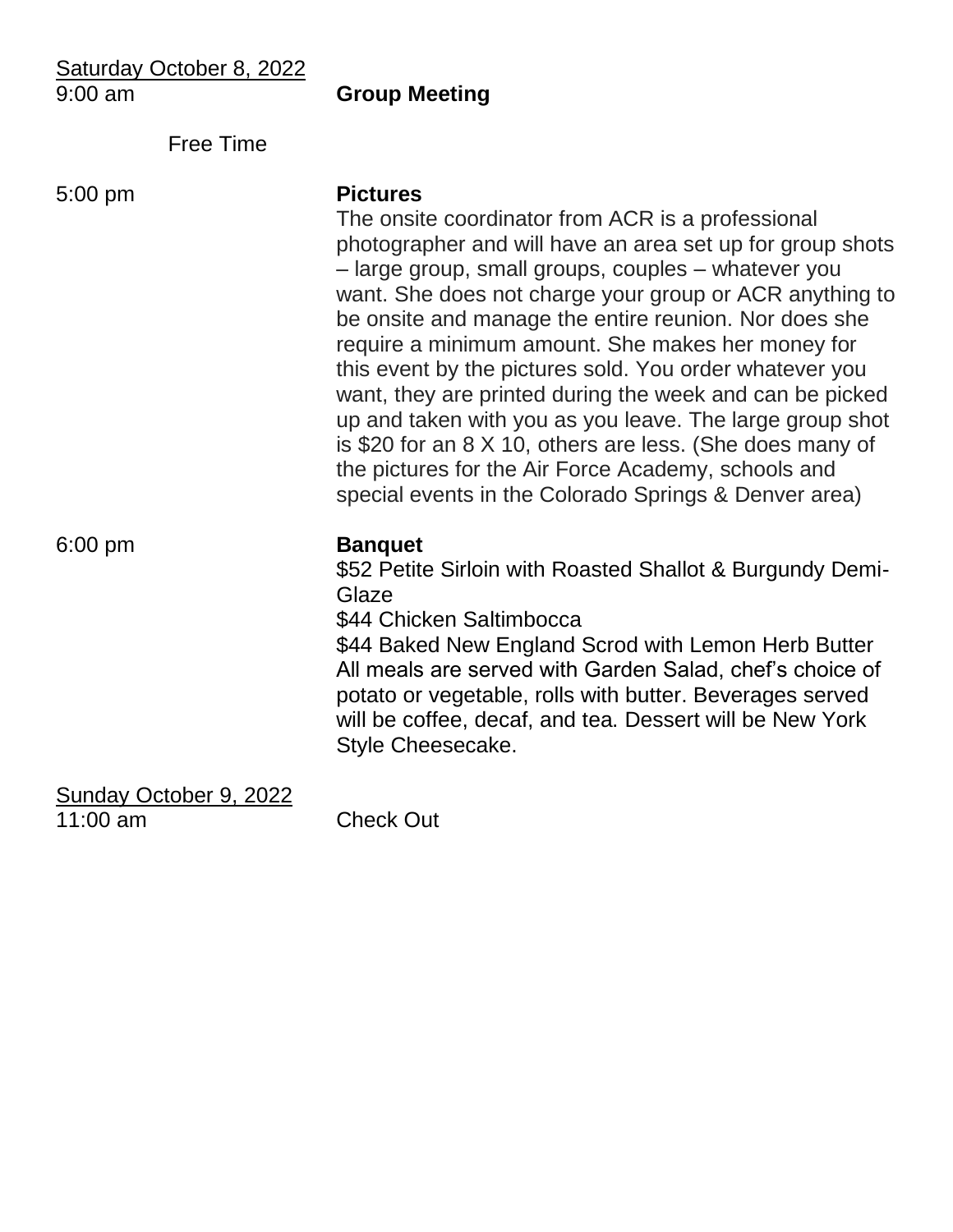| Saturday October 8, 2022<br>$9:00$ am | <b>Group Meeting</b>                                                                                                                                                                                                                                                                                                                                                                                                                                                                                                                                                                                                                                                                                                              |
|---------------------------------------|-----------------------------------------------------------------------------------------------------------------------------------------------------------------------------------------------------------------------------------------------------------------------------------------------------------------------------------------------------------------------------------------------------------------------------------------------------------------------------------------------------------------------------------------------------------------------------------------------------------------------------------------------------------------------------------------------------------------------------------|
| <b>Free Time</b>                      |                                                                                                                                                                                                                                                                                                                                                                                                                                                                                                                                                                                                                                                                                                                                   |
| $5:00$ pm                             | <b>Pictures</b><br>The onsite coordinator from ACR is a professional<br>photographer and will have an area set up for group shots<br>- large group, small groups, couples - whatever you<br>want. She does not charge your group or ACR anything to<br>be onsite and manage the entire reunion. Nor does she<br>require a minimum amount. She makes her money for<br>this event by the pictures sold. You order whatever you<br>want, they are printed during the week and can be picked<br>up and taken with you as you leave. The large group shot<br>is \$20 for an 8 X 10, others are less. (She does many of<br>the pictures for the Air Force Academy, schools and<br>special events in the Colorado Springs & Denver area) |
| $6:00$ pm                             | <b>Banquet</b><br>\$52 Petite Sirloin with Roasted Shallot & Burgundy Demi-<br>Glaze<br>\$44 Chicken Saltimbocca<br>\$44 Baked New England Scrod with Lemon Herb Butter<br>All meals are served with Garden Salad, chef's choice of<br>potato or vegetable, rolls with butter. Beverages served<br>will be coffee, decaf, and tea. Dessert will be New York<br>Style Cheesecake.                                                                                                                                                                                                                                                                                                                                                  |
| Sunday October 9, 2022<br>$11:00$ am  | <b>Check Out</b>                                                                                                                                                                                                                                                                                                                                                                                                                                                                                                                                                                                                                                                                                                                  |